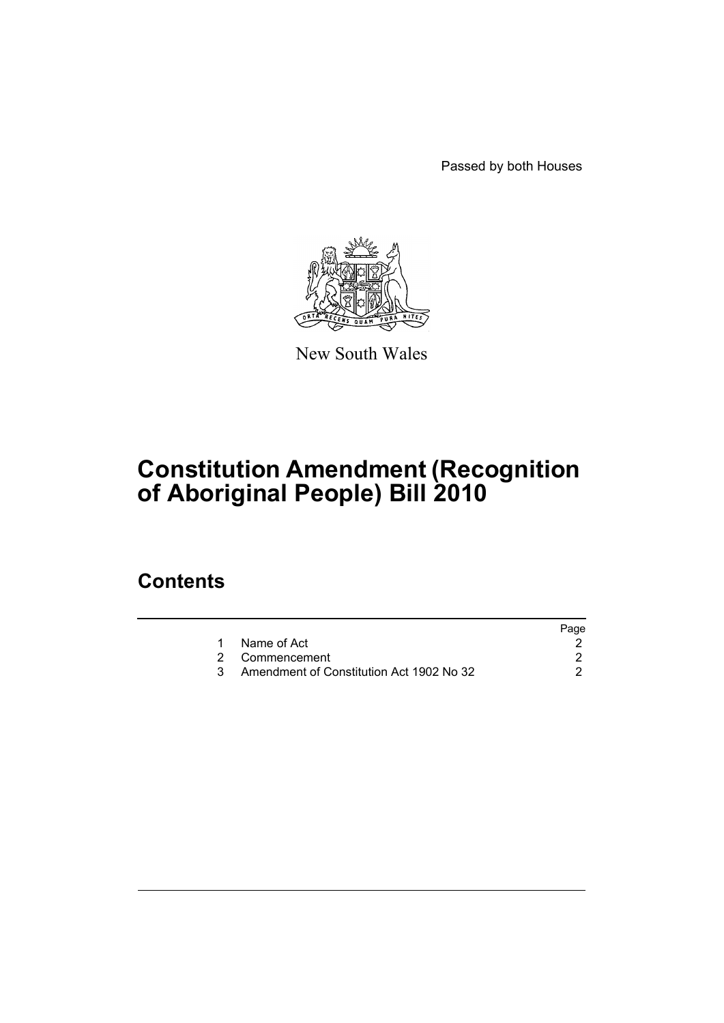Passed by both Houses



New South Wales

# **Constitution Amendment (Recognition of Aboriginal People) Bill 2010**

### **Contents**

|                                          | Page |
|------------------------------------------|------|
| Name of Act                              |      |
| 2 Commencement                           |      |
| Amendment of Constitution Act 1902 No 32 |      |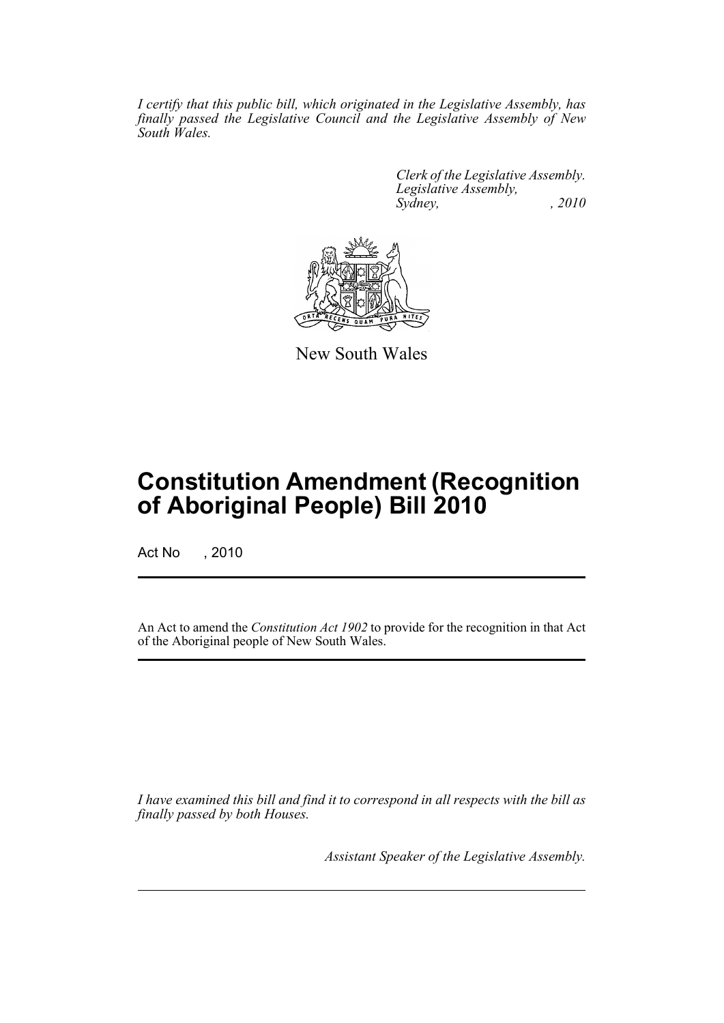*I certify that this public bill, which originated in the Legislative Assembly, has finally passed the Legislative Council and the Legislative Assembly of New South Wales.*

> *Clerk of the Legislative Assembly. Legislative Assembly, Sydney, , 2010*



New South Wales

## **Constitution Amendment (Recognition of Aboriginal People) Bill 2010**

Act No , 2010

An Act to amend the *Constitution Act 1902* to provide for the recognition in that Act of the Aboriginal people of New South Wales.

*I have examined this bill and find it to correspond in all respects with the bill as finally passed by both Houses.*

*Assistant Speaker of the Legislative Assembly.*